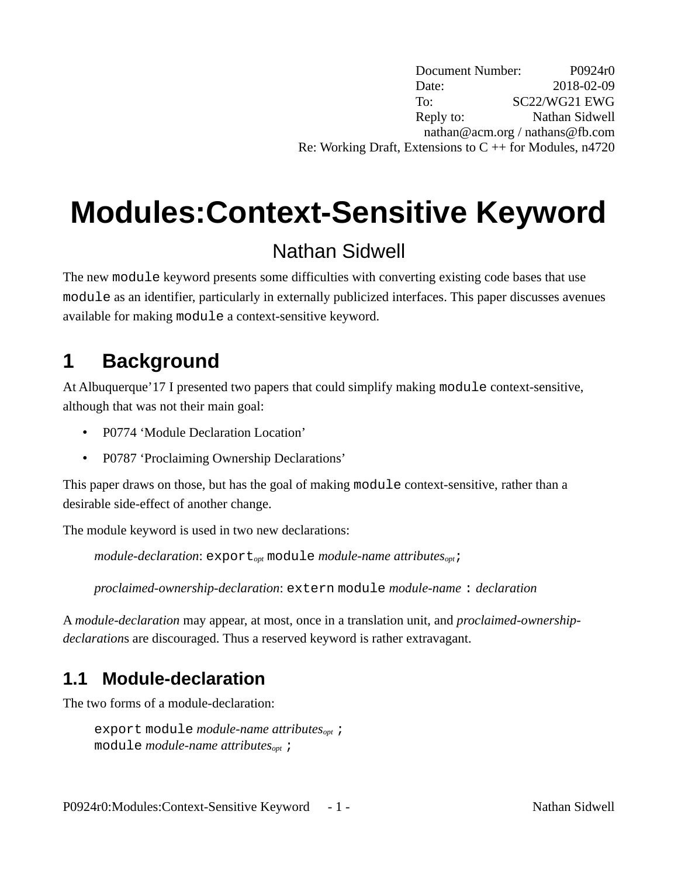Document Number: P0924r0 Date: 2018-02-09 To: SC22/WG21 EWG Reply to: Nathan Sidwell nathan@acm.org / nathans@fb.com Re: Working Draft, Extensions to  $C + f$  for Modules, n4720

# **Modules:Context-Sensitive Keyword**

## Nathan Sidwell

The new module keyword presents some difficulties with converting existing code bases that use module as an identifier, particularly in externally publicized interfaces. This paper discusses avenues available for making module a context-sensitive keyword.

# **1 Background**

At Albuquerque'17 I presented two papers that could simplify making module context-sensitive, although that was not their main goal:

- P0774 'Module Declaration Location'
- P0787 'Proclaiming Ownership Declarations'

This paper draws on those, but has the goal of making module context-sensitive, rather than a desirable side-effect of another change.

The module keyword is used in two new declarations:

*module-declaration*: export*opt* module *module-name attributesopt*;

*proclaimed-ownership-declaration*: extern module *module-name* : *declaration*

A *module-declaration* may appear, at most, once in a translation unit, and *proclaimed-ownershipdeclaration*s are discouraged. Thus a reserved keyword is rather extravagant.

## **1.1 Module-declaration**

The two forms of a module-declaration:

export module *module-name attributesopt* ; module *module-name attributesopt* ;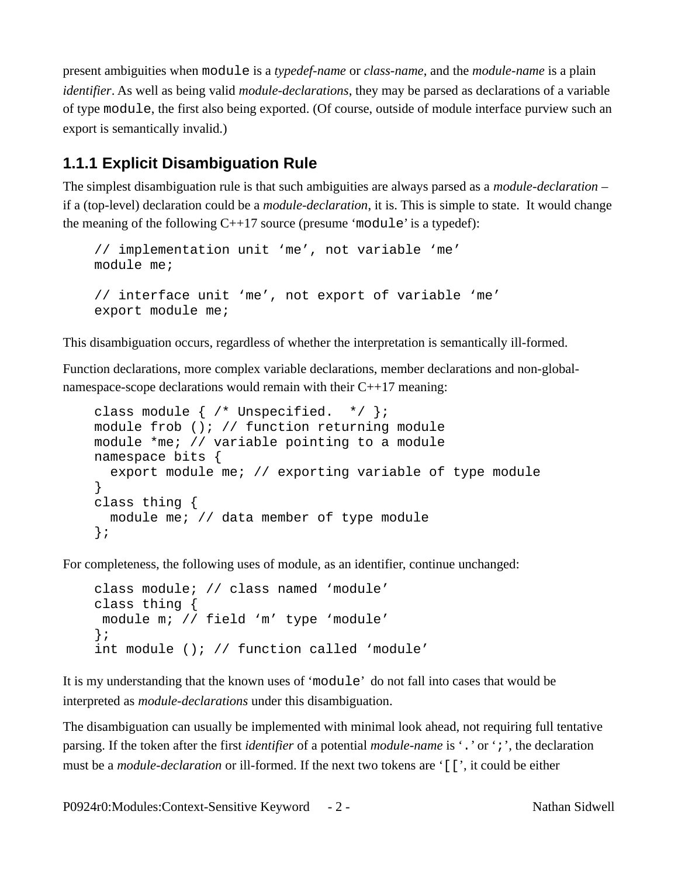present ambiguities when module is a *typedef-name* or *class-name*, and the *module-name* is a plain *identifier*. As well as being valid *module-declarations*, they may be parsed as declarations of a variable of type module, the first also being exported. (Of course, outside of module interface purview such an export is semantically invalid.)

#### <span id="page-1-0"></span>**1.1.1 Explicit Disambiguation Rule**

The simplest disambiguation rule is that such ambiguities are always parsed as a *module-declaration* – if a (top-level) declaration could be a *module-declaration*, it is. This is simple to state. It would change the meaning of the following  $C^{++17}$  source (presume 'module' is a typedef):

```
// implementation unit 'me', not variable 'me'
module me;
// interface unit 'me', not export of variable 'me'
export module me;
```
This disambiguation occurs, regardless of whether the interpretation is semantically ill-formed.

Function declarations, more complex variable declarations, member declarations and non-globalnamespace-scope declarations would remain with their C++17 meaning:

```
class module { \prime^* Unspecified. */ };
module frob (); // function returning module
module *me; // variable pointing to a module
namespace bits {
   export module me; // exporting variable of type module
}
class thing {
   module me; // data member of type module
};
```
For completeness, the following uses of module, as an identifier, continue unchanged:

```
class module; // class named 'module'
class thing {
 module m; // field 'm' type 'module'
};
int module (); // function called 'module'
```
It is my understanding that the known uses of 'module' do not fall into cases that would be interpreted as *module-declarations* under this disambiguation.

The disambiguation can usually be implemented with minimal look ahead, not requiring full tentative parsing. If the token after the first *identifier* of a potential *module-name* is '.' or ';', the declaration must be a *module-declaration* or ill-formed. If the next two tokens are '[[', it could be either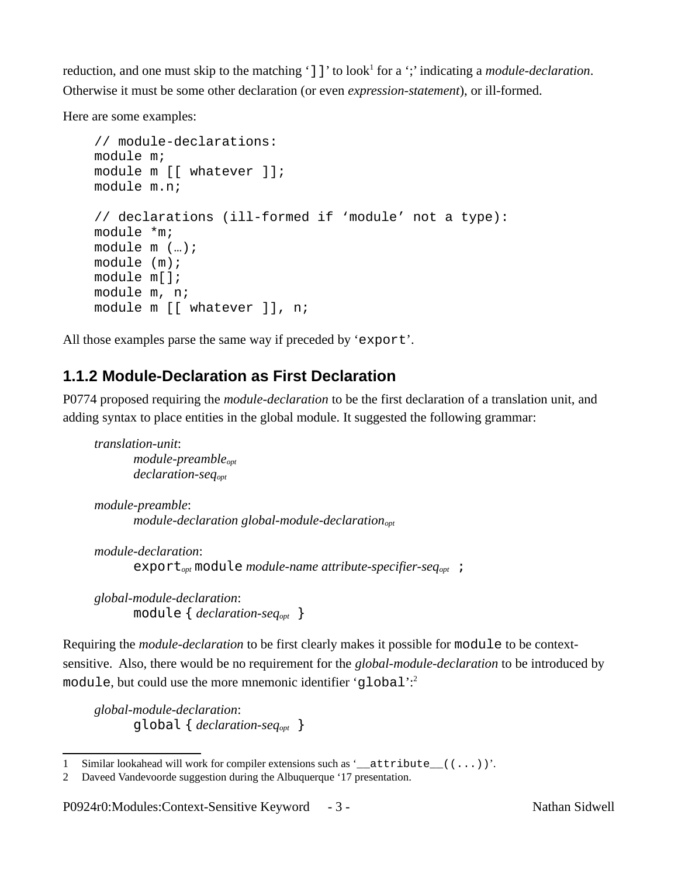reduction, and one must skip to the matching ']]' to look<sup>[1](#page-2-0)</sup> for a ';' indicating a *module-declaration*. Otherwise it must be some other declaration (or even *expression-statement*), or ill-formed.

Here are some examples:

```
// module-declarations:
module m;
module m [[ whatever ]];
module m.n;
// declarations (ill-formed if 'module' not a type):
module *m;
module m (…);
module (m);
module m[];
module m, n;
module m [[ whatever ]], n;
```
All those examples parse the same way if preceded by 'export'.

#### **1.1.2 Module-Declaration as First Declaration**

P0774 proposed requiring the *module-declaration* to be the first declaration of a translation unit, and adding syntax to place entities in the global module. It suggested the following grammar:

```
translation-unit:
       module-preambleopt
       declaration-seqopt
module-preamble:
       module-declaration global-module-declarationopt
```

```
module-declaration:
      exportopt module module-name attribute-specifier-seqopt ;
```
*global-module-declaration*: module { *declaration-seqopt* }

Requiring the *module-declaration* to be first clearly makes it possible for module to be contextsensitive. Also, there would be no requirement for the *global-module-declaration* to be introduced by module, but could use the more mnemonic identifier 'qlobal':<sup>[2](#page-2-1)</sup>

*global-module-declaration*: global { *declaration-seqopt* }

<span id="page-2-0"></span><sup>1</sup> Similar lookahead will work for compiler extensions such as '\_attribute\_((...))'.

<span id="page-2-1"></span><sup>2</sup> Daveed Vandevoorde suggestion during the Albuquerque '17 presentation.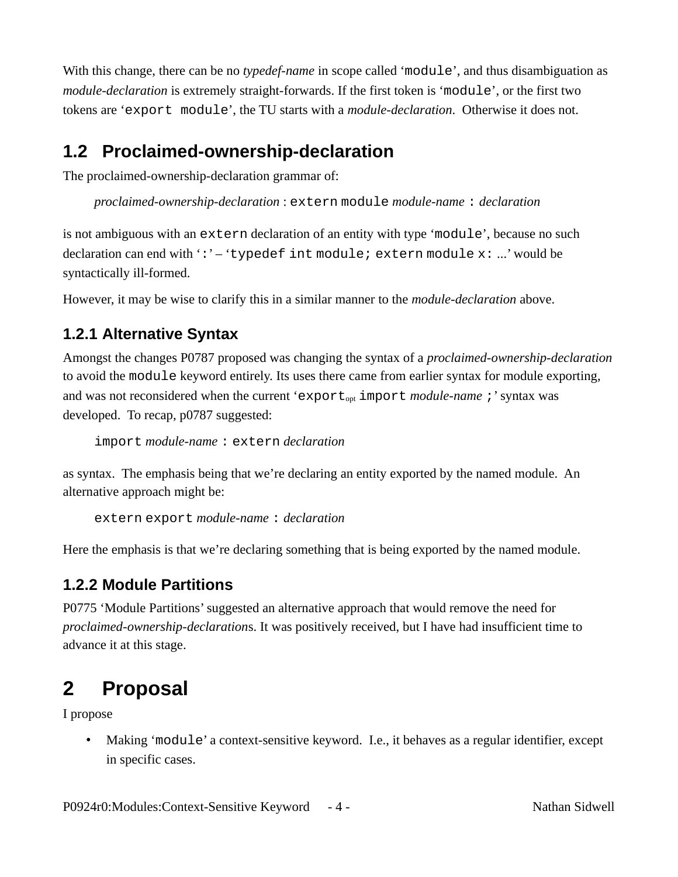With this change, there can be no *typedef-name* in scope called 'module', and thus disambiguation as *module-declaration* is extremely straight-forwards. If the first token is 'module', or the first two tokens are 'export module', the TU starts with a *module-declaration*. Otherwise it does not.

### **1.2 Proclaimed-ownership-declaration**

The proclaimed-ownership-declaration grammar of:

*proclaimed-ownership-declaration* : extern module *module-name* : *declaration*

is not ambiguous with an extern declaration of an entity with type 'module', because no such declaration can end with ':' – 'typedef int module; extern module x: ...' would be syntactically ill-formed.

However, it may be wise to clarify this in a similar manner to the *module-declaration* above.

#### **1.2.1 Alternative Syntax**

Amongst the changes P0787 proposed was changing the syntax of a *proclaimed-ownership-declaration* to avoid the module keyword entirely. Its uses there came from earlier syntax for module exporting, and was not reconsidered when the current 'export<sub>opt</sub> import *module-name*;' syntax was developed. To recap, p0787 suggested:

```
import module-name : extern declaration
```
as syntax. The emphasis being that we're declaring an entity exported by the named module. An alternative approach might be:

```
extern export module-name : declaration
```
Here the emphasis is that we're declaring something that is being exported by the named module.

#### **1.2.2 Module Partitions**

P0775 'Module Partitions' suggested an alternative approach that would remove the need for *proclaimed-ownership-declaration*s. It was positively received, but I have had insufficient time to advance it at this stage.

## **2 Proposal**

I propose

• Making 'module' a context-sensitive keyword. I.e., it behaves as a regular identifier, except in specific cases.